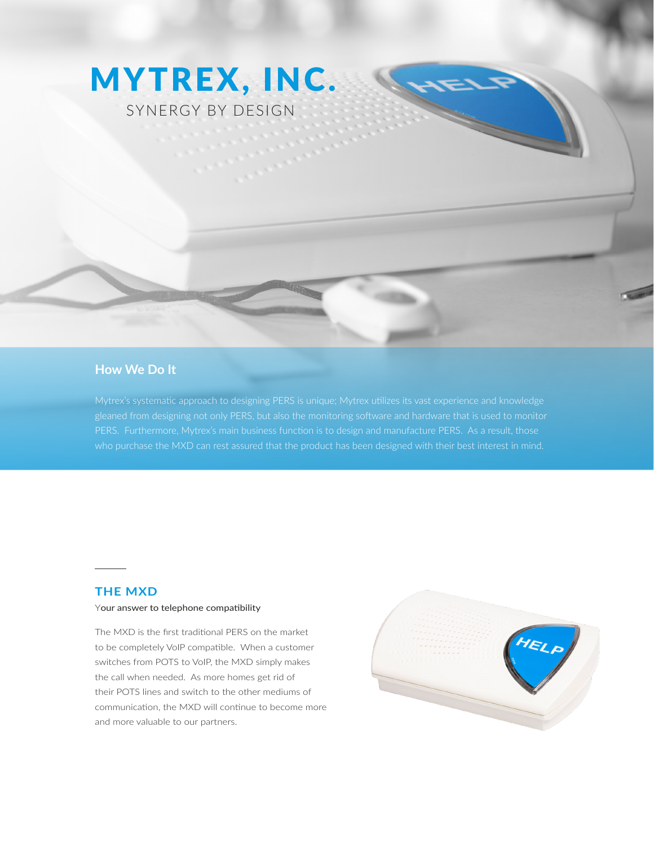# MYTREX, INC. SYNERGY BY DESIGN

# **How We Do It**

#### **THE MXD**

#### Your answer to telephone compatibility

The MXD is the first traditional PERS on the market to be completely VoIP compatible. When a customer switches from POTS to VoIP, the MXD simply makes the call when needed. As more homes get rid of their POTS lines and switch to the other mediums of communication, the MXD will continue to become more and more valuable to our partners.